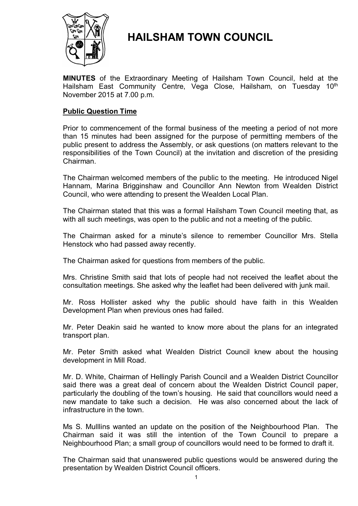

# **HAILSHAM TOWN COUNCIL**

**MINUTES** of the Extraordinary Meeting of Hailsham Town Council, held at the Hailsham East Community Centre, Vega Close, Hailsham, on Tuesday 10<sup>th</sup> November 2015 at 7.00 p.m.

## **Public Question Time**

Prior to commencement of the formal business of the meeting a period of not more than 15 minutes had been assigned for the purpose of permitting members of the public present to address the Assembly, or ask questions (on matters relevant to the responsibilities of the Town Council) at the invitation and discretion of the presiding Chairman.

The Chairman welcomed members of the public to the meeting. He introduced Nigel Hannam, Marina Brigginshaw and Councillor Ann Newton from Wealden District Council, who were attending to present the Wealden Local Plan.

The Chairman stated that this was a formal Hailsham Town Council meeting that, as with all such meetings, was open to the public and not a meeting of the public.

The Chairman asked for a minute's silence to remember Councillor Mrs. Stella Henstock who had passed away recently.

The Chairman asked for questions from members of the public.

Mrs. Christine Smith said that lots of people had not received the leaflet about the consultation meetings. She asked why the leaflet had been delivered with junk mail.

Mr. Ross Hollister asked why the public should have faith in this Wealden Development Plan when previous ones had failed.

Mr. Peter Deakin said he wanted to know more about the plans for an integrated transport plan.

Mr. Peter Smith asked what Wealden District Council knew about the housing development in Mill Road.

Mr. D. White, Chairman of Hellingly Parish Council and a Wealden District Councillor said there was a great deal of concern about the Wealden District Council paper, particularly the doubling of the town's housing. He said that councillors would need a new mandate to take such a decision. He was also concerned about the lack of infrastructure in the town.

Ms S. Mulllins wanted an update on the position of the Neighbourhood Plan. The Chairman said it was still the intention of the Town Council to prepare a Neighbourhood Plan; a small group of councillors would need to be formed to draft it.

The Chairman said that unanswered public questions would be answered during the presentation by Wealden District Council officers.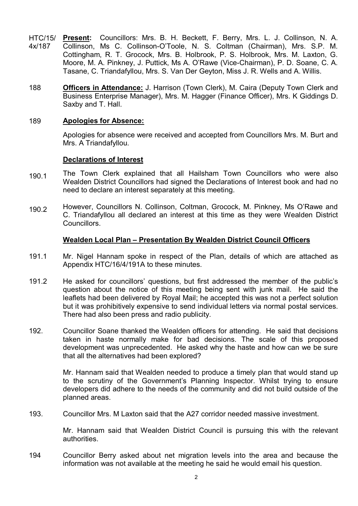- HTC/15/ 4x/187 **Present:** Councillors: Mrs. B. H. Beckett, F. Berry, Mrs. L. J. Collinson, N. A. Collinson, Ms C. Collinson-O'Toole, N. S. Coltman (Chairman), Mrs. S.P. M. Cottingham, R. T. Grocock, Mrs. B. Holbrook, P. S. Holbrook, Mrs. M. Laxton, G. Moore, M. A. Pinkney, J. Puttick, Ms A. O'Rawe (Vice-Chairman), P. D. Soane, C. A. Tasane, C. Triandafyllou, Mrs. S. Van Der Geyton, Miss J. R. Wells and A. Willis.
- 188 **Officers in Attendance:** J. Harrison (Town Clerk), M. Caira (Deputy Town Clerk and Business Enterprise Manager), Mrs. M. Hagger (Finance Officer), Mrs. K Giddings D. Saxby and T. Hall.

## 189 **Apologies for Absence:**

Apologies for absence were received and accepted from Councillors Mrs. M. Burt and Mrs. A Triandafyllou.

#### **Declarations of Interest**

- 190.1 The Town Clerk explained that all Hailsham Town Councillors who were also Wealden District Councillors had signed the Declarations of Interest book and had no need to declare an interest separately at this meeting.
- 190.2 However, Councillors N. Collinson, Coltman, Grocock, M. Pinkney, Ms O'Rawe and C. Triandafyllou all declared an interest at this time as they were Wealden District **Councillors**

## **Wealden Local Plan – Presentation By Wealden District Council Officers**

- 191.1 Mr. Nigel Hannam spoke in respect of the Plan, details of which are attached as Appendix HTC/16/4/191A to these minutes.
- 191.2 He asked for councillors' questions, but first addressed the member of the public's question about the notice of this meeting being sent with junk mail. He said the leaflets had been delivered by Royal Mail; he accepted this was not a perfect solution but it was prohibitively expensive to send individual letters via normal postal services. There had also been press and radio publicity.
- 192. Councillor Soane thanked the Wealden officers for attending. He said that decisions taken in haste normally make for bad decisions. The scale of this proposed development was unprecedented. He asked why the haste and how can we be sure that all the alternatives had been explored?

Mr. Hannam said that Wealden needed to produce a timely plan that would stand up to the scrutiny of the Government's Planning Inspector. Whilst trying to ensure developers did adhere to the needs of the community and did not build outside of the planned areas.

193. Councillor Mrs. M Laxton said that the A27 corridor needed massive investment.

> Mr. Hannam said that Wealden District Council is pursuing this with the relevant authorities.

194 Councillor Berry asked about net migration levels into the area and because the information was not available at the meeting he said he would email his question.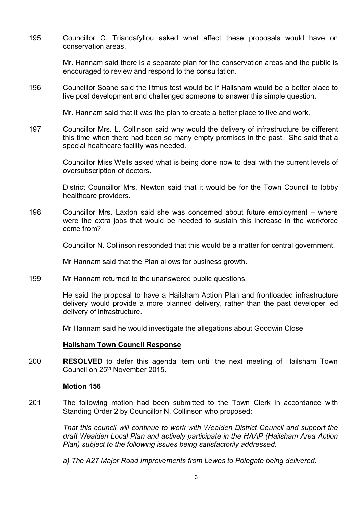195 Councillor C. Triandafyllou asked what affect these proposals would have on conservation areas.

> Mr. Hannam said there is a separate plan for the conservation areas and the public is encouraged to review and respond to the consultation.

196 Councillor Soane said the litmus test would be if Hailsham would be a better place to live post development and challenged someone to answer this simple question.

Mr. Hannam said that it was the plan to create a better place to live and work.

197 Councillor Mrs. L. Collinson said why would the delivery of infrastructure be different this time when there had been so many empty promises in the past. She said that a special healthcare facility was needed.

> Councillor Miss Wells asked what is being done now to deal with the current levels of oversubscription of doctors.

> District Councillor Mrs. Newton said that it would be for the Town Council to lobby healthcare providers.

198 Councillor Mrs. Laxton said she was concerned about future employment – where were the extra jobs that would be needed to sustain this increase in the workforce come from?

Councillor N. Collinson responded that this would be a matter for central government.

Mr Hannam said that the Plan allows for business growth.

199 Mr Hannam returned to the unanswered public questions.

> He said the proposal to have a Hailsham Action Plan and frontloaded infrastructure delivery would provide a more planned delivery, rather than the past developer led delivery of infrastructure.

Mr Hannam said he would investigate the allegations about Goodwin Close

## **Hailsham Town Council Response**

200 **RESOLVED** to defer this agenda item until the next meeting of Hailsham Town Council on 25th November 2015.

#### **Motion 156**

201 The following motion had been submitted to the Town Clerk in accordance with Standing Order 2 by Councillor N. Collinson who proposed:

> *That this council will continue to work with Wealden District Council and support the draft Wealden Local Plan and actively participate in the HAAP (Hailsham Area Action Plan) subject to the following issues being satisfactorily addressed.*

*a) The A27 Major Road Improvements from Lewes to Polegate being delivered.*